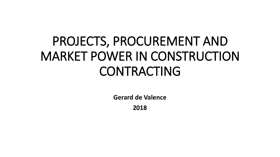## PROJECTS, PROCUREMENT AND MARKET POWER IN CONSTRUCTION CONTRACTING

**Gerard de Valence**

**2018**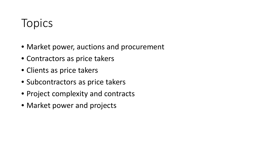## Topics

- Market power, auctions and procurement
- Contractors as price takers
- Clients as price takers
- Subcontractors as price takers
- Project complexity and contracts
- Market power and projects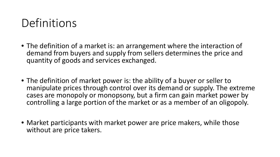## **Definitions**

- The definition of a market is: an arrangement where the interaction of demand from buyers and supply from sellers determines the price and quantity of goods and services exchanged.
- The definition of market power is: the ability of a buyer or seller to manipulate prices through control over its demand or supply. The extreme cases are monopoly or monopsony, but a firm can gain market power by controlling a large portion of the market or as a member of an oligopoly.
- Market participants with market power are price makers, while those without are price takers.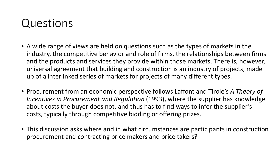## Questions

- A wide range of views are held on questions such as the types of markets in the industry, the competitive behavior and role of firms, the relationships between firms and the products and services they provide within those markets. There is, however, universal agreement that building and construction is an industry of projects, made up of a interlinked series of markets for projects of many different types.
- Procurement from an economic perspective follows Laffont and Tirole's *A Theory of Incentives in Procurement and Regulation* (1993), where the supplier has knowledge about costs the buyer does not, and thus has to find ways to infer the supplier's costs, typically through competitive bidding or offering prizes.
- This discussion asks where and in what circumstances are participants in construction procurement and contracting price makers and price takers?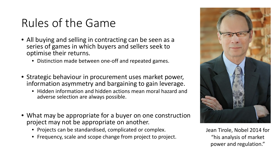## Rules of the Game

- All buying and selling in contracting can be seen as a series of games in which buyers and sellers seek to optimise their returns.
	- Distinction made between one-off and repeated games.
- Strategic behaviour in procurement uses market power, information asymmetry and bargaining to gain leverage.
	- Hidden information and hidden actions mean moral hazard and adverse selection are always possible.
- What may be appropriate for a buyer on one construction project may not be appropriate on another.
	- Projects can be standardised, complicated or complex.
	- Frequency, scale and scope change from project to project.



Jean Tirole, Nobel 2014 for "his analysis of market power and regulation."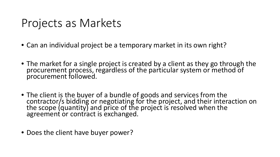## Projects as Markets

- Can an individual project be a temporary market in its own right?
- The market for a single project is created by a client as they go through the procurement process, regardless of the particular system or method of procurement followed.
- The client is the buyer of a bundle of goods and services from the<br>contractor/s bidding or negotiating for the project, and their interaction on the scope (quantity) and price of the project is resolved when the agreement or contract is exchanged.
- Does the client have buyer power?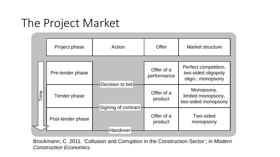## The Project Market

|     | Project phase     | Action                                              | Offer                     | Market structure                                                 |
|-----|-------------------|-----------------------------------------------------|---------------------------|------------------------------------------------------------------|
|     |                   |                                                     |                           |                                                                  |
| ime | Pre-tender phase  | Decision to bid<br>Signing of contract-<br>Handover | Offer of a<br>performance | Perfect competition,<br>two-sided oligopoly<br>oligo-, monopsony |
|     | Tender phase      |                                                     | Offer of a<br>product     | Monopsony,<br>limited monopsony,<br>two-sided monopsony          |
|     | Post-tender phase |                                                     | Offer of a<br>product     | Two-sided<br>monopsony                                           |

Brockmann, C. 2011. 'Collusion and Corruption in the Construction Sector', in *Modern Construction Economics.*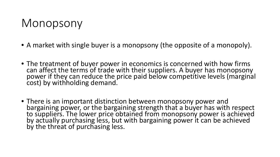## Monopsony

- A market with single buyer is a monopsony (the opposite of a monopoly).
- The treatment of buyer power in economics is concerned with how firms can affect the terms of trade with their suppliers. A buyer has monopsony power if they can reduce the price paid below competitive levels (marginal cost) by withholding demand.
- There is an important distinction between monopsony power and bargaining power, or the bargaining strength that a buyer has with respect to suppliers. The lower price obtained from monopsony power is achieved by actually purchasing less, but with bargaining power it can be achieved by the threat of purchasing less.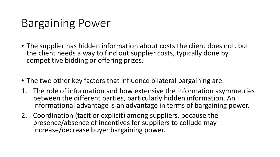## Bargaining Power

- The supplier has hidden information about costs the client does not, but the client needs a way to find out supplier costs, typically done by competitive bidding or offering prizes.
- The two other key factors that influence bilateral bargaining are:
- 1. The role of information and how extensive the information asymmetries between the different parties, particularly hidden information. An informational advantage is an advantage in terms of bargaining power.
- 2. Coordination (tacit or explicit) among suppliers, because the presence/absence of incentives for suppliers to collude may increase/decrease buyer bargaining power.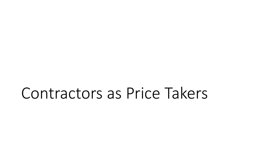## Contractors as Price Takers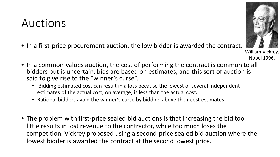## Auctions

- In a first-price procurement auction, the low bidder is awarded the contract.
- In a common-values auction, the cost of performing the contract is common to all bidders but is uncertain, bids are based on estimates, and this sort of auction is said to give rise to the "winner's curse".
	- Bidding estimated cost can result in a loss because the lowest of several independent estimates of the actual cost, on average, is less than the actual cost.
	- Rational bidders avoid the winner's curse by bidding above their cost estimates.
- The problem with first-price sealed bid auctions is that increasing the bid too little results in lost revenue to the contractor, while too much loses the competition. Vickrey proposed using a second-price sealed bid auction where the lowest bidder is awarded the contract at the second lowest price.



Nobel 1996.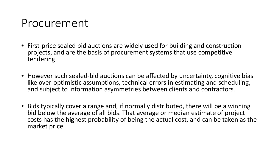## Procurement

- First-price sealed bid auctions are widely used for building and construction projects, and are the basis of procurement systems that use competitive tendering.
- However such sealed-bid auctions can be affected by uncertainty, cognitive bias like over-optimistic assumptions, technical errors in estimating and scheduling, and subject to information asymmetries between clients and contractors.
- Bids typically cover a range and, if normally distributed, there will be a winning bid below the average of all bids. That average or median estimate of project costs has the highest probability of being the actual cost, and can be taken as the market price.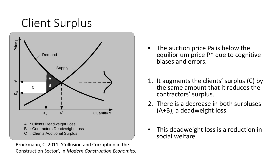

Brockmann, C. 2011. 'Collusion and Corruption in the Construction Sector', in *Modern Construction Economics.*

- The auction price Pa is below the equilibrium price P\* due to cognitive biases and errors.
- 1. It augments the clients' surplus (C) by the same amount that it reduces the contractors' surplus.
- 2. There is a decrease in both surpluses (A+B), a deadweight loss.
- This deadweight loss is a reduction in social welfare.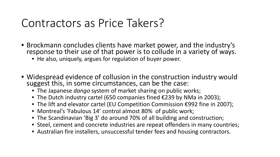## Contractors as Price Takers?

- Brockmann concludes clients have market power, and the industry's response to their use of that power is to collude in a variety of ways.
	- He also, uniquely, argues for regulation of buyer power.
- Widespread evidence of collusion in the construction industry would suggest this, in some circumstances, can be the case:
	- The Japanese *dango* system of market sharing on public works;
	- The Dutch industry cartel (650 companies fined €239 by NMa in 2003);
	- The lift and elevator cartel (EU Competition Commission €992 fine in 2007);
	- Montreal's 'Fabulous 14' control almost 80% of public work;
	- The Scandinavian 'Big 3' do around 70% of all building and construction;
	- Steel, cement and concrete industries are repeat offenders in many countries;
	- Australian fire installers, unsuccessful tender fees and housing contractors.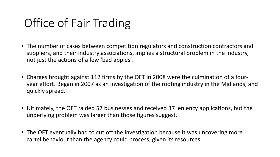## Office of Fair Trading

- The number of cases between competition regulators and construction contractors and suppliers, and their industry associations, implies a structural problem in the industry, not just the actions of a few 'bad apples'.
- Charges brought against 112 firms by the OFT in 2008 were the culmination of a fouryear effort. Began in 2007 as an investigation of the roofing industry in the Midlands, and quickly spread.
- Ultimately, the OFT raided 57 businesses and received 37 leniency applications, but the underlying problem was larger than those figures suggest.
- The OFT eventually had to cut off the investigation because it was uncovering more cartel behaviour than the agency could process, given its resources.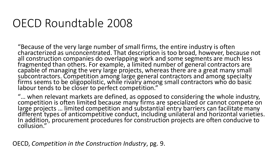## OECD Roundtable 2008

"Because of the very large number of small firms, the entire industry is often<br>characterized as unconcentrated. That description is too broad, however, because not characterized as unconcentrated. That description is too broad, however, because not<br>all construction companies do overlapping work and some segments are much less fragmented than others. For example, a limited number of general contractors are capable of managing the very large projects, whereas there are a great many small subcontractors. Competition among large general contractors and among specialty firms seems to be oligopolistic, while rivalry among small contractors who do basic labour tends to be closer to perfect competition."

"… when relevant markets are defined, as opposed to considering the whole industry, ... when relevant markets are defined, as opposed to considering the whole madstry,<br>competition is often limited because many firms are specialized or cannot compete on<br>large projects ... limited competition and substantia In addition, procurement procedures for construction projects are often conducive to collusion."

OECD, *Competition in the Construction Industry*, pg. 9.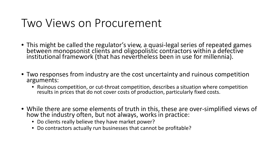## Two Views on Procurement

- This might be called the regulator's view, a quasi-legal series of repeated games between monopsonist clients and oligopolistic contractors within a defective institutional framework (that has nevertheless been in use fo
- Two responses from industry are the cost uncertainty and ruinous competition arguments:
	- Ruinous competition, or cut-throat competition, describes a situation where competition results in prices that do not cover costs of production, particularly fixed costs.
- While there are some elements of truth in this, these are over-simplified views of how the industry often, but not always, works in practice:
	- Do clients really believe they have market power?
	- Do contractors actually run businesses that cannot be profitable?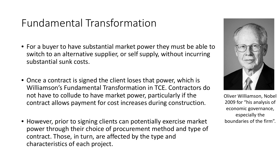## Fundamental Transformation

- For a buyer to have substantial market power they must be able to switch to an alternative supplier, or self supply, without incurring substantial sunk costs.
- Once a contract is signed the client loses that power, which is Williamson's Fundamental Transformation in TCE. Contractors do not have to collude to have market power, particularly if the contract allows payment for cost increases during construction.
- However, prior to signing clients can potentially exercise market power through their choice of procurement method and type of contract. Those, in turn, are affected by the type and characteristics of each project.



Oliver Williamson, Nobel 2009 for "his analysis of economic governance, especially the boundaries of the firm".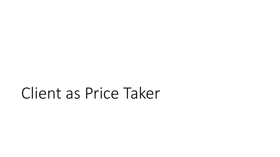# Client as Price Taker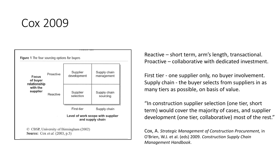## Cox 2009



Reactive – short term, arm's length, transactional. Proactive – collaborative with dedicated investment.

First tier - one supplier only, no buyer involvement. Supply chain - the buyer selects from suppliers in as many tiers as possible, on basis of value.

"In construction supplier selection (one tier, short term) would cover the majority of cases, and supplier development (one tier, collaborative) most of the rest."

Cox, A. *Strategic Management of Construction Procurement,* in O'Brien, W.J. et al. (eds) 2009. *Construction Supply Chain Management Handbook*.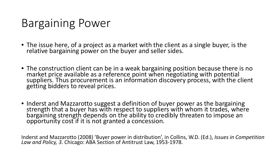## Bargaining Power

- The issue here, of a project as a market with the client as a single buyer, is the relative bargaining power on the buyer and seller sides.
- The construction client can be in a weak bargaining position because there is no market price available as a reference point when negotiating with potential suppliers. Thus procurement is an information discovery process, with the client getting bidders to reveal prices.
- Inderst and Mazzarotto suggest a definition of buyer power as the bargaining<br>strength that a buyer has with respect to suppliers with whom it trades, where bargaining strength depends on the ability to credibly threaten to impose an opportunity cost if it is not granted a concession.

Inderst and Mazzarotto (2008) 'Buyer power in distribution', in Collins, W.D. (Ed.), *Issues in Competition*<br>Law and Policy, 3. Chicago: ABA Section of Antitrust Law, 1953-1978.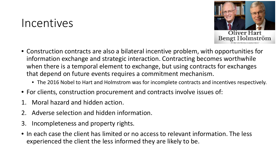### Incentives



- Construction contracts are also a bilateral incentive problem, with opportunities for information exchange and strategic interaction. Contracting becomes worthwhile when there is a temporal element to exchange, but using contracts for exchanges that depend on future events requires a commitment mechanism.
	- The 2016 Nobel to Hart and Holmstrom was for incomplete contracts and incentives respectively.
- For clients, construction procurement and contracts involve issues of:
- Moral hazard and hidden action.
- 2. Adverse selection and hidden information.
- 3. Incompleteness and property rights.
- In each case the client has limited or no access to relevant information. The less experienced the client the less informed they are likely to be.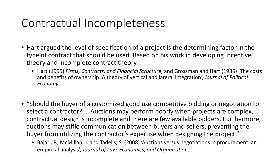## Contractual Incompleteness

- Hart argued the level of specification of a project is the determining factor in the type of contract that should be used. Based on his work in developing incentive theory and incomplete contract theory.
	- Hart (1995) *Firms, Contracts, and Financial Structur*e, and Grossman and Hart (1986) 'The costs and benefits of ownership: A theory of vertical and lateral integration', *Journal of Political Economy.*
- "Should the buyer of a customized good use competitive bidding or negotiation to select a contractor? … Auctions may perform poorly when projects are complex, contractual design is incomplete and there are few available bidders. Furthermore, auctions may stifle communication between buyers and sellers, preventing the buyer from utilizing the contractor's expertise when designing the project."
	- Bajari, P., McMillan, J. and Tadelis, S. (2008) 'Auctions versus negotiations in procurement: an empirical analysis', *Journal of Law, Economics, and Organization*.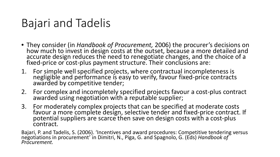## Bajari and Tadelis

- They consider (in *Handbook of Procurement,* 2006) the procurer's decisions on how much to invest in design costs at the outset, because a more detailed and accurate design reduces the need to renegotiate changes, and the choice of a fixed-price or cost-plus payment structure. Their conclusions are:
- 1. For simple well specified projects, where contractual incompleteness is negligible and performance is easy to verify, favour fixed-price contracts awarded by competitive tender;
- 2. For complex and incompletely specified projects favour a cost-plus contract awarded using negotiation with a reputable supplier;
- 3. For moderately complex projects that can be specified at moderate costs favour a more complete design, selective tender and fixed-price contract. If<br>potential suppliers are scarce then save on design costs with a cost-plus contract.

Bajari, P. and Tadelis, S. (2006). 'Incentives and award procedures: Competitive tendering versus negotiations in procurement' in Dimitri, N., Piga, G. and Spagnolo, G. (Eds) *Handbook of Procurement.*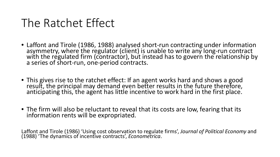## The Ratchet Effect

- Laffont and Tirole (1986, 1988) analysed short-run contracting under information<br>asymmetry, where the regulator (client) is unable to write any long-run contract with the regulated firm (contractor), but instead has to govern the relationship by a series of short-run, one-period contracts.
- This gives rise to the ratchet effect: If an agent works hard and shows a good result, the principal may demand even better results in the future therefore, anticipating this, the agent has little incentive to work hard in the first place.
- The firm will also be reluctant to reveal that its costs are low, fearing that its information rents will be expropriated.

Laffont and Tirole (1986) 'Using cost observation to regulate firms', *Journal of Political Economy* and (1988) 'The dynamics of incentive contracts', *Econometrica*.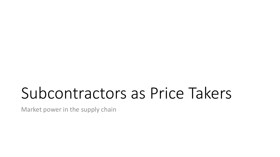# Subcontractors as Price Takers

Market power in the supply chain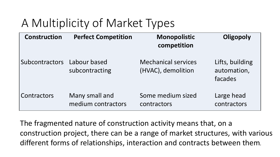## A Multiplicity of Market Types

| <b>Construction</b>         | <b>Perfect Competition</b>           | Monopolistic<br>competition                      | Oligopoly                                 |
|-----------------------------|--------------------------------------|--------------------------------------------------|-------------------------------------------|
| Subcontractors Labour based | subcontracting                       | <b>Mechanical services</b><br>(HVAC), demolition | Lifts, building<br>automation,<br>facades |
| <b>Contractors</b>          | Many small and<br>medium contractors | Some medium sized<br>contractors                 | Large head<br>contractors                 |

The fragmented nature of construction activity means that, on a construction project, there can be a range of market structures, with various different forms of relationships, interaction and contracts between them*.*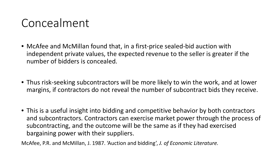## Concealment

- McAfee and McMillan found that, in a first-price sealed-bid auction with independent private values, the expected revenue to the seller is greater if the number of bidders is concealed.
- Thus risk-seeking subcontractors will be more likely to win the work, and at lower margins, if contractors do not reveal the number of subcontract bids they receive.
- This is a useful insight into bidding and competitive behavior by both contractors and subcontractors. Contractors can exercise market power through the process of subcontracting, and the outcome will be the same as if they had exercised bargaining power with their suppliers.

McAfee, P.R. and McMillan, J. 1987. 'Auction and bidding', *J. of Economic Literature.*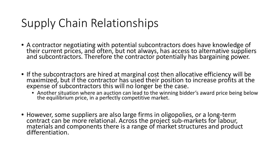## Supply Chain Relationships

- A contractor negotiating with potential subcontractors does have knowledge of their current prices, and often, but not always, has access to alternative suppliers and subcontractors. Therefore the contractor potentially has bargaining power.
- If the subcontractors are hired at marginal cost then allocative efficiency will be maximized, but if the contractor has used their position to increase profits at the expense of subcontractors this will no longer be the
	- Another situation where an auction can lead to the winning bidder's award price being below the equilibrium price, in a perfectly competitive market.
- However, some suppliers are also large firms in oligopolies, or a long-term contract can be more relational. Across the project sub-markets for labour, materials and components there is a range of market structures and product differentiation.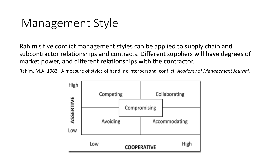## Management Style

Rahim's five conflict management styles can be applied to supply chain and subcontractor relationships and contracts. Different suppliers will have degrees of market power, and different relationships with the contractor.

Rahim, M.A. 1983. A measure of styles of handling interpersonal conflict, *Academy of Management Journal.*

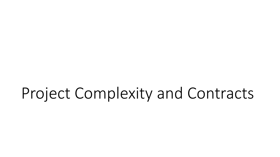# Project Complexity and Contracts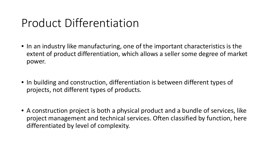## Product Differentiation

- In an industry like manufacturing, one of the important characteristics is the extent of product differentiation, which allows a seller some degree of market power.
- In building and construction, differentiation is between different types of projects, not different types of products.
- A construction project is both a physical product and a bundle of services, like project management and technical services. Often classified by function, here differentiated by level of complexity.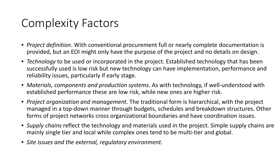## Complexity Factors

- *Project definition*. With conventional procurement full or nearly complete documentation is provided, but an EOI might only have the purpose of the project and no details on design.
- *Technology* to be used or incorporated in the project. Established technology that has been successfully used is low risk but new technology can have implementation, performance and reliability issues, particularly if early stage.
- *Materials, components and production systems*. As with technology, if well-understood with established performance these are low risk, while new ones are higher risk.
- *Project organization and management*. The traditional form is hierarchical, with the project managed in a top-down manner through budgets, schedules and breakdown structures. Other forms of project networks cross organizational boundaries and have coordination issues.
- *Supply chains* reflect the technology and materials used in the project. Simple supply chains are mainly single tier and local while complex ones tend to be multi-tier and global.
- *Site issues and the external, regulatory environment.*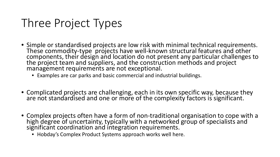## Three Project Types

- Simple or standardised projects are low risk with minimal technical requirements. These commodity-type projects have well-known structural features and other components, their design and location do not present any particular challenges to the project team and suppliers, and the construction methods and project management requirements are not exceptional.
	- Examples are car parks and basic commercial and industrial buildings.
- Complicated projects are challenging, each in its own specific way, because they are not standardised and one or more of the complexity factors is significant.
- Complex projects often have a form of non-traditional organisation to cope with a high degree of uncertainty, typically with a networked group of specialists and significant coordination and integration requirements.
	- Hobday's Complex Product Systems approach works well here.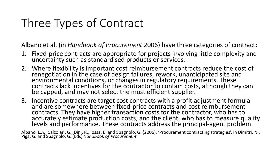## Three Types of Contract

Albano et al. (in *Handbook of Procurement* 2006) have three categories of contract:

- 1. Fixed-price contracts are appropriate for projects involving little complexity and uncertainty such as standardised products or services.
- 2. Where flexibility is important cost reimbursement contracts reduce the cost of renegotiation in the case of design failures, rework, unanticipated site and environmental conditions, or changes in regulatory requirements. These contracts lack incentives for the contractor to contain costs, although they can be capped, and may not select the most efficient supplier.
- 3. Incentive contracts are target cost contracts with a profit adjustment formula and are somewhere between fixed-price contracts and cost reimbursement contracts. They have higher transaction costs for the contractor, who has to accurately estimate production costs, and the client, who has to measure quality levels and performance. These contracts address the principal-agent problem.

Albano, L.A., Calzolari, G., Dini, R., Iossa, E. and Spagnolo, G. (2006). 'Procurement contracting strategies', in Dimitri, N., Piga, G. and Spagnolo, G. (Eds) *Handbook of Procurement*.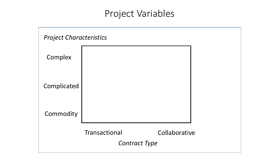### Project Variables

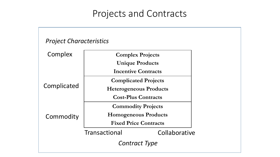### Projects and Contracts

#### *Project Characteristics*

| Complex     | <b>Complex Projects</b>       |               |  |
|-------------|-------------------------------|---------------|--|
|             | <b>Unique Products</b>        |               |  |
|             | <b>Incentive Contracts</b>    |               |  |
|             | <b>Complicated Projects</b>   |               |  |
| Complicated | <b>Heterogeneous Products</b> |               |  |
|             | <b>Cost-Plus Contracts</b>    |               |  |
|             | <b>Commodity Projects</b>     |               |  |
| Commodity   | <b>Homogeneous Products</b>   |               |  |
|             | <b>Fixed Price Contracts</b>  |               |  |
|             | Transactional                 | Collaborative |  |
|             | Contract Type                 |               |  |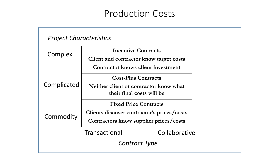### Production Costs

#### **Incentive Contracts Client and contractor know target costs Contractor knows client investment Cost-Plus Contracts Neither client or contractor know what their final costs will be Fixed Price Contracts Clients discover contractor's prices/costs Contractors know supplier prices/costs** Transactional Collaborative Commodity Complex *Project Characteristics Contract Type* **Complicated**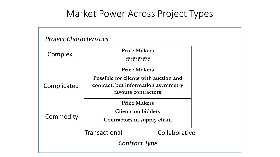### Market Power Across Project Types

| <b>Project Characteristics</b> |                                                                                                     |  |  |  |
|--------------------------------|-----------------------------------------------------------------------------------------------------|--|--|--|
| Complex                        | <b>Price Makers</b><br><u>קללללללללל</u>                                                            |  |  |  |
|                                | <b>Price Makers</b>                                                                                 |  |  |  |
| Complicated                    | Possible for clients with auction and<br>contract, but information asymmetry<br>favours contractors |  |  |  |
| Commodity                      | <b>Price Makers</b><br><b>Clients on bidders</b><br>Contractors in supply chain                     |  |  |  |
|                                | Transactional<br>Collaborative                                                                      |  |  |  |
| <b>Contract Type</b>           |                                                                                                     |  |  |  |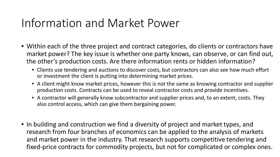## Information and Market Power

- Within each of the three project and contract categories, do clients or contractors have market power? The key issue is whether one party knows, can observe, or can find out, the other's production costs. Are there information rents or hidden information?
	- Clients use tendering and auctions to discover costs, but contractors can also see how much effort or investment the client is putting into determining market prices.
	- A client might know market prices, however this is not the same as knowing contractor and supplier production costs. Contracts can be used to reveal contractor costs and provide incentives.
	- A contractor will generally know subcontractor and supplier prices and, to an extent, costs. They also control access, which can give them bargaining power.
- In building and construction we find a diversity of project and market types, and research from four branches of economics can be applied to the analysis of markets and market power in the industry. That research supports competitive tendering and fixed-price contracts for commodity projects, but not for complicated or complex ones.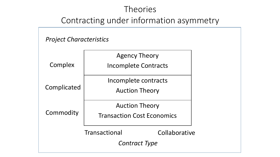#### **Theories**

#### Contracting under information asymmetry

#### *Project Characteristics*

|             | <b>Agency Theory</b>              |               |  |
|-------------|-----------------------------------|---------------|--|
| Complex     | <b>Incomplete Contracts</b>       |               |  |
|             | Incomplete contracts              |               |  |
| Complicated | <b>Auction Theory</b>             |               |  |
|             | <b>Auction Theory</b>             |               |  |
| Commodity   | <b>Transaction Cost Economics</b> |               |  |
|             | Transactional                     | Collaborative |  |
|             | Contract Type                     |               |  |